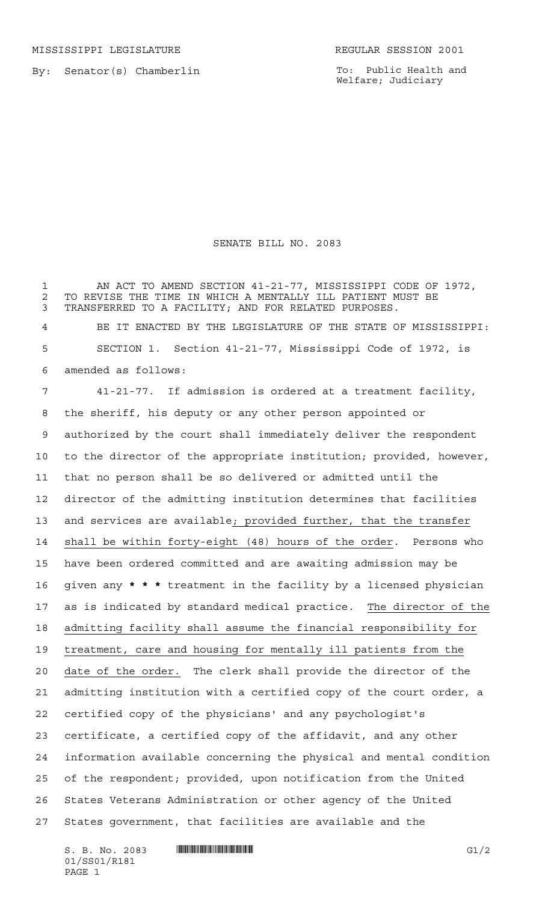MISSISSIPPI LEGISLATURE **REGULAR SESSION 2001** 

By: Senator(s) Chamberlin

To: Public Health and Welfare; Judiciary

## SENATE BILL NO. 2083

 AN ACT TO AMEND SECTION 41-21-77, MISSISSIPPI CODE OF 1972, TO REVISE THE TIME IN WHICH A MENTALLY ILL PATIENT MUST BE TRANSFERRED TO A FACILITY; AND FOR RELATED PURPOSES. BE IT ENACTED BY THE LEGISLATURE OF THE STATE OF MISSISSIPPI:

 SECTION 1. Section 41-21-77, Mississippi Code of 1972, is amended as follows:

 41-21-77. If admission is ordered at a treatment facility, the sheriff, his deputy or any other person appointed or authorized by the court shall immediately deliver the respondent to the director of the appropriate institution; provided, however, that no person shall be so delivered or admitted until the director of the admitting institution determines that facilities and services are available; provided further, that the transfer shall be within forty-eight (48) hours of the order. Persons who have been ordered committed and are awaiting admission may be given any **\*\*\*** treatment in the facility by a licensed physician 17 as is indicated by standard medical practice. The director of the admitting facility shall assume the financial responsibility for treatment, care and housing for mentally ill patients from the date of the order. The clerk shall provide the director of the admitting institution with a certified copy of the court order, a certified copy of the physicians' and any psychologist's certificate, a certified copy of the affidavit, and any other information available concerning the physical and mental condition of the respondent; provided, upon notification from the United States Veterans Administration or other agency of the United States government, that facilities are available and the

 $S. B. No. 2083$  **INNIFICALLY INSERIAL EXAMPLE IN THE SET OF SET OF SET OF SET OF SET OF SET OF SET OF SET OF SET OF SET OF SET OF SET OF SET OF SET OF SET OF SET OF SET OF SET OF SET OF SET OF SET OF SET OF SET OF SET OF** 01/SS01/R181 PAGE 1